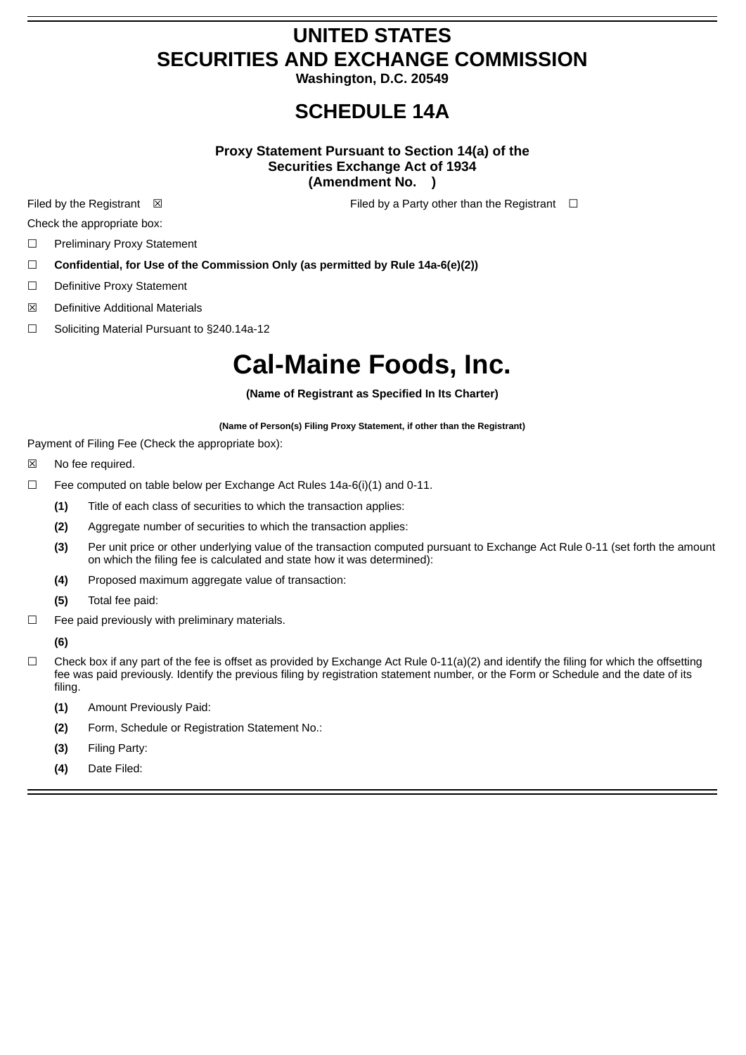## **UNITED STATES SECURITIES AND EXCHANGE COMMISSION**

**Washington, D.C. 20549**

### **SCHEDULE 14A**

#### **Proxy Statement Pursuant to Section 14(a) of the Securities Exchange Act of 1934 (Amendment No. )**

Filed by the Registrant **⊠** Filed by a Party other than the Registrant **□** 

Check the appropriate box:

- ☐ Preliminary Proxy Statement
- ☐ **Confidential, for Use of the Commission Only (as permitted by Rule 14a-6(e)(2))**
- ☐ Definitive Proxy Statement
- ☒ Definitive Additional Materials
- ☐ Soliciting Material Pursuant to §240.14a-12

## **Cal-Maine Foods, Inc.**

**(Name of Registrant as Specified In Its Charter)**

**(Name of Person(s) Filing Proxy Statement, if other than the Registrant)**

Payment of Filing Fee (Check the appropriate box):

- ☒ No fee required.
- ☐ Fee computed on table below per Exchange Act Rules 14a-6(i)(1) and 0-11.
	- **(1)** Title of each class of securities to which the transaction applies:
	- **(2)** Aggregate number of securities to which the transaction applies:
	- **(3)** Per unit price or other underlying value of the transaction computed pursuant to Exchange Act Rule 0-11 (set forth the amount on which the filing fee is calculated and state how it was determined):
	- **(4)** Proposed maximum aggregate value of transaction:
	- **(5)** Total fee paid:
- $\Box$  Fee paid previously with preliminary materials.

**(6)**

- $\Box$  Check box if any part of the fee is offset as provided by Exchange Act Rule 0-11(a)(2) and identify the filing for which the offsetting fee was paid previously. Identify the previous filing by registration statement number, or the Form or Schedule and the date of its filing.
	- **(1)** Amount Previously Paid:
	- **(2)** Form, Schedule or Registration Statement No.:
	- **(3)** Filing Party:
	- **(4)** Date Filed: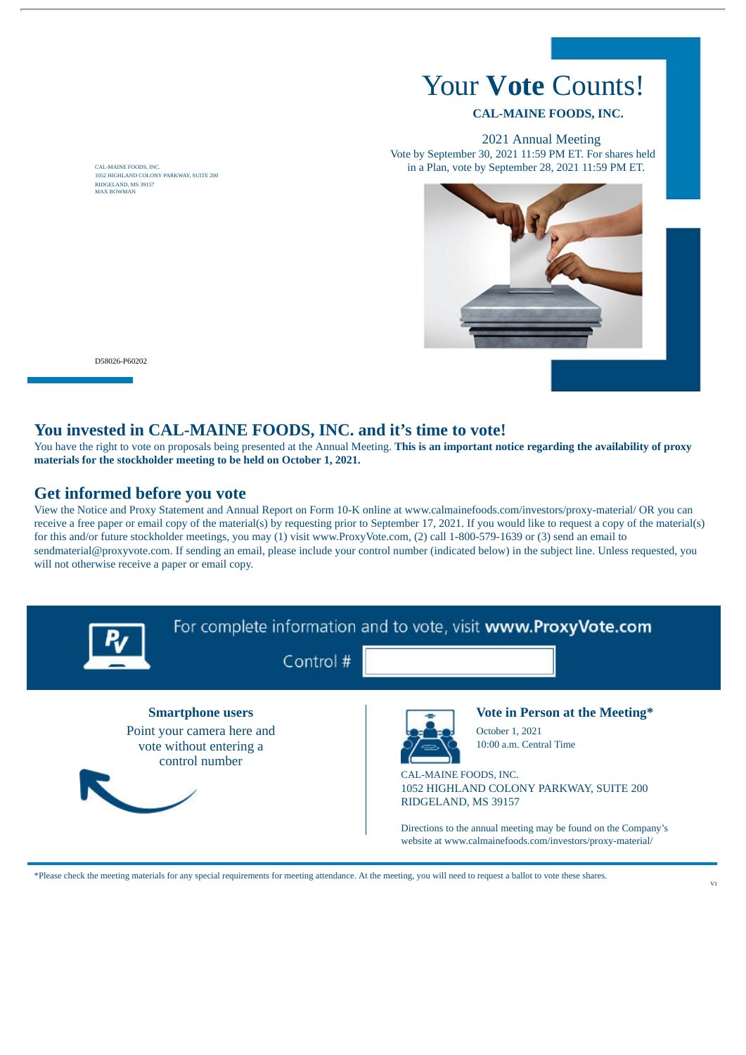# Your **Vote** Counts!

#### **CAL-MAINE FOODS, INC.**

2021 Annual Meeting Vote by September 30, 2021 11:59 PM ET. For shares held in a Plan, vote by September 28, 2021 11:59 PM ET.



CAL-MAINE FOODS, INC. 1052 HIGHLAND COLONY PARKWAY, SUITE 200 RIDGELAND, MS 39157 MAX BOWMAN

D58026-P60202

#### **You invested in CAL-MAINE FOODS, INC. and it's time to vote!**

You have the right to vote on proposals being presented at the Annual Meeting. **This is an important notice regarding the availability of proxy materials for the stockholder meeting to be held on October 1, 2021.**

#### **Get informed before you vote**

View the Notice and Proxy Statement and Annual Report on Form 10-K online at www.calmainefoods.com/investors/proxy-material/ OR you can receive a free paper or email copy of the material(s) by requesting prior to September 17, 2021. If you would like to request a copy of the material(s) for this and/or future stockholder meetings, you may (1) visit www.ProxyVote.com, (2) call 1-800-579-1639 or (3) send an email to sendmaterial@proxyvote.com. If sending an email, please include your control number (indicated below) in the subject line. Unless requested, you will not otherwise receive a paper or email copy.



\*Please check the meeting materials for any special requirements for meeting attendance. At the meeting, you will need to request a ballot to vote these shares.

I,